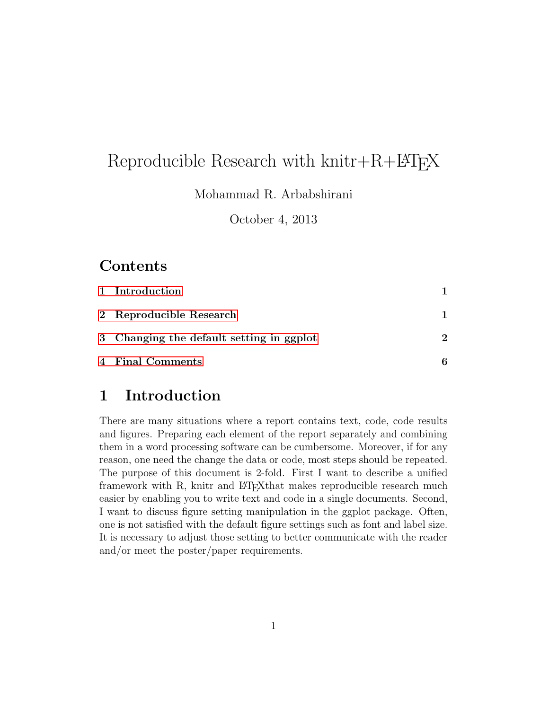# Reproducible Research with  $knitr + R + LAT$ <sub>FX</sub>

Mohammad R. Arbabshirani

October 4, 2013

### Contents

| 1 Introduction                           |   |
|------------------------------------------|---|
| 2 Reproducible Research                  |   |
| 3 Changing the default setting in ggplot | 2 |
| 4 Final Comments                         | 6 |

## <span id="page-0-0"></span>1 Introduction

There are many situations where a report contains text, code, code results and figures. Preparing each element of the report separately and combining them in a word processing software can be cumbersome. Moreover, if for any reason, one need the change the data or code, most steps should be repeated. The purpose of this document is 2-fold. First I want to describe a unified framework with R, knitr and LAT<sub>E</sub>Xthat makes reproducible research much easier by enabling you to write text and code in a single documents. Second, I want to discuss figure setting manipulation in the ggplot package. Often, one is not satisfied with the default figure settings such as font and label size. It is necessary to adjust those setting to better communicate with the reader and/or meet the poster/paper requirements.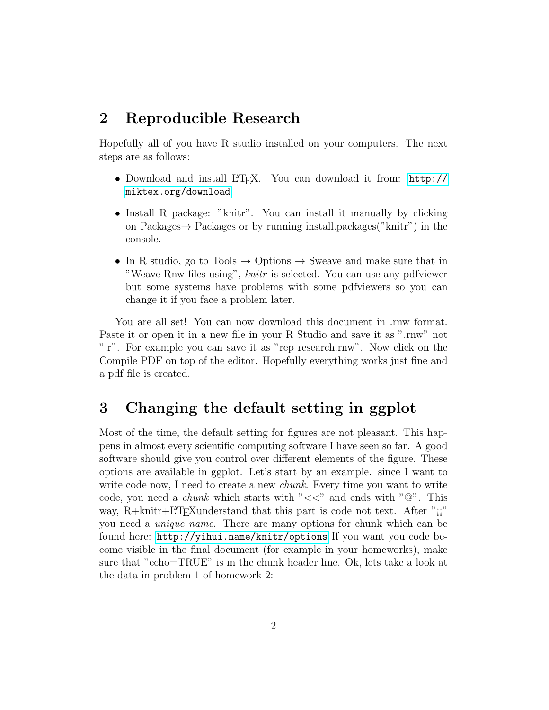#### <span id="page-1-0"></span>2 Reproducible Research

Hopefully all of you have R studio installed on your computers. The next steps are as follows:

- Download and install LAT<sub>EX</sub>. You can download it from: [http://](http://miktex.org/download) [miktex.org/download](http://miktex.org/download)
- Install R package: "knitr". You can install it manually by clicking on Packages  $\rightarrow$  Packages or by running install.packages("knitr") in the console.
- In R studio, go to Tools  $\rightarrow$  Options  $\rightarrow$  Sweave and make sure that in "Weave Rnw files using", knitr is selected. You can use any pdfviewer but some systems have problems with some pdfviewers so you can change it if you face a problem later.

You are all set! You can now download this document in .rnw format. Paste it or open it in a new file in your R Studio and save it as ".rnw" not ".r". For example you can save it as "rep research.rnw". Now click on the Compile PDF on top of the editor. Hopefully everything works just fine and a pdf file is created.

## <span id="page-1-1"></span>3 Changing the default setting in ggplot

Most of the time, the default setting for figures are not pleasant. This happens in almost every scientific computing software I have seen so far. A good software should give you control over different elements of the figure. These options are available in ggplot. Let's start by an example. since I want to write code now, I need to create a new *chunk*. Every time you want to write code, you need a *chunk* which starts with " $<<$ " and ends with " $@$ ". This way,  $R+knitr+*B*T<sub>F</sub>*X*understand that this part is code not text. After "ii"$ you need a unique name. There are many options for chunk which can be found here: <http://yihui.name/knitr/options> If you want you code become visible in the final document (for example in your homeworks), make sure that "echo=TRUE" is in the chunk header line. Ok, lets take a look at the data in problem 1 of homework 2: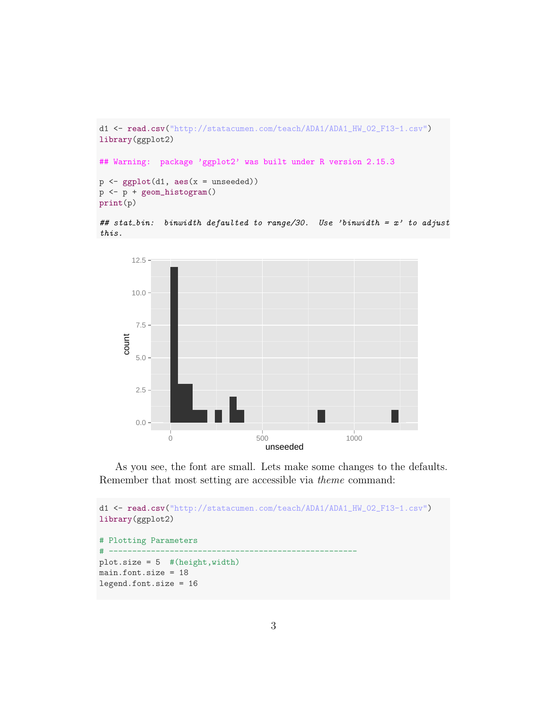```
d1 <- read.csv("http://statacumen.com/teach/ADA1/ADA1_HW_02_F13-1.csv")
library(ggplot2)
## Warning: package 'ggplot2' was built under R version 2.15.3
p \leftarrow \text{ggplot}(d1, \text{aes}(x = \text{unseeded}))p <- p + geom_histogram()
print(p)
## stat_bin: binwidth defaulted to range/30. Use 'binwidth = x' to adjust
this.
```


As you see, the font are small. Lets make some changes to the defaults. Remember that most setting are accessible via theme command:

```
d1 <- read.csv("http://statacumen.com/teach/ADA1/ADA1_HW_02_F13-1.csv")
library(ggplot2)
# Plotting Parameters
# -----------------------------------------------------
plot.size = 5 #(height,width)
main.font.size = 18
legend.font.size = 16
```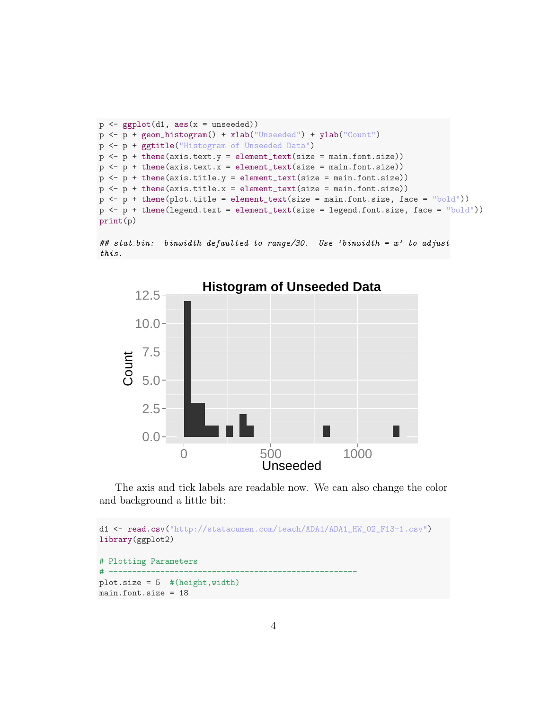```
p \leftarrow \text{gplot}(d1, \text{aes}(x = \text{unseeded}))p <- p + geom_histogram() + xlab("Unseeded") + ylab("Count")
p <- p + ggtitle("Histogram of Unseeded Data")
p \leftarrow p + \text{ theme}(\text{axis.text.y = element\_text(size = main.font.size}))p \leftarrow p + \text{ theme}(\text{axis.text.x = element\_text(size = main.font.size}))p \leftarrow p + \text{ theme}(\text{axis.title.y = element\_text}(\text{size = main.font.size}))p \leftarrow p + \text{ theme}(\text{axis.title.x = element\_text(size = main.font.size}))p \leftarrow p + \text{them}(plot.title = element_test(size = main font.size, face = "bold")p \leftarrow p + \text{themel}(\text{legend.text = element_test(size = legend.font.size, face = "bold")})print(p)
```

```
## stat bin: binwidth defaulted to range/30. Use 'binwidth = x' to adjust
this.
```


The axis and tick labels are readable now. We can also change the color and background a little bit:

```
d1 <- read.csv("http://statacumen.com/teach/ADA1/ADA1_HW_02_F13-1.csv")
library(ggplot2)
# Plotting Parameters
# -----------------------------------------------------
plot.size = 5 #(height,width)
main.font.size = 18
```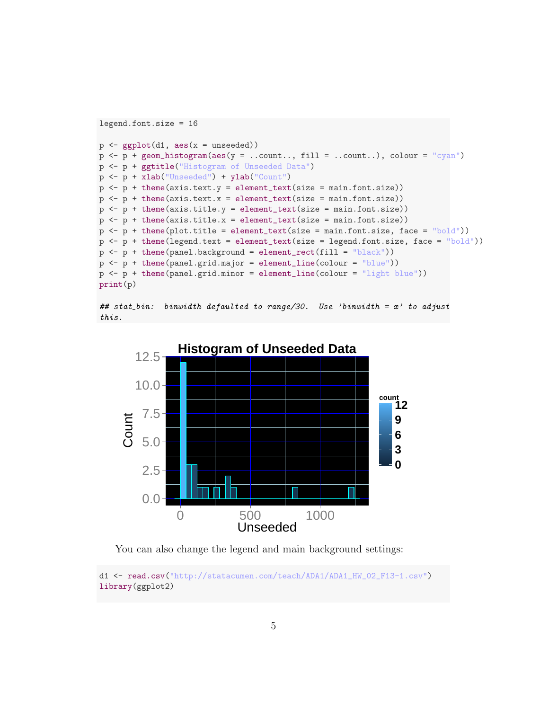```
legend.font.size = 16
p \leftarrow ggplot(d1, aes(x = unseeded))p \leftarrow p + \text{geom\_histogram}(aes(y = ...count... , fill = ...count...), colour = "cyan")p <- p + ggtitle("Histogram of Unseeded Data")
p <- p + xlab("Unseeded") + ylab("Count")
p \leftarrow p + \text{ theme}(\text{axis.text.y = element\_text(size = main.font.size}))p \leftarrow p + \text{ theme}(\text{axis.text.x = element\_text(size = main.font.size}))p \leftarrow p + \text{ theme}(\text{axis.title.y = element\_text}(\text{size = main.font.size}))p \leftarrow p + \text{theme}(axis.title.x = element_test(size = main.font.size))p \leftarrow p + \text{them}(plot.title = element_test(size = main font.size, face = "bold")p \leftarrow p + \text{themel}(\text{legend.text = element_test(size = legend.font.size, face = "bold")})p \leftarrow p + \text{there}(\text{panel.back} = \text{element\_rect}(\text{fill} = \text{"black"}))p \leftarrow p + \text{ theme}(\text{panel.grid.major = element\_line}(\text{colour = "blue"))p \leftarrow p + \text{ theme}(\text{panel.grid.minor} = \text{element\_line}(\text{colour} = \text{"light blue"))})print(p)
```

```
## stat_bin: binwidth defaulted to range/30. Use 'binwidth = x' to adjust
this.
```


You can also change the legend and main background settings:

d1 <- read.csv("http://statacumen.com/teach/ADA1/ADA1\_HW\_02\_F13-1.csv") library(ggplot2)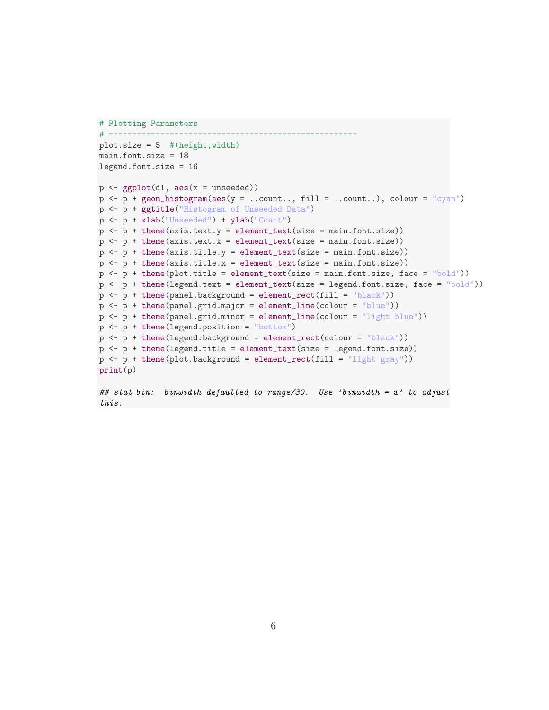```
# Plotting Parameters
# -----------------------------------------------------
plot.size = 5 #(height,width)
main.font.size = 18
legend.font.size = 16
p \leftarrow \text{gplot}(d1, \text{aes}(x = \text{unseeded}))p \leftarrow p + \text{geom\_histogram}(aes(y = ...count... , fill = ...count...), colour = "cyan")p <- p + ggtitle("Histogram of Unseeded Data")
p <- p + xlab("Unseeded") + ylab("Count")
p \leftarrow p + \text{ theme}(\text{axis.text.y = element\_text(size = main.font.size}))p \leftarrow p + \text{ theme}(\text{axis.text.x = element\_text(size = main.font.size}))p \leftarrow p + \text{ theme}(\text{axis.title.y = element\_text}(\text{size = main.font.size}))p \leftarrow p + \text{ theme}(\text{axis.title.x = element\_text(size = main.font.size}))p \leftarrow p + \text{them}(plot.title = element_test(size = main font.size, face = "bold")p \leftarrow p + \text{themel}(\text{legend.text = element\_text(size = legend.font.size, face = "bold")})p \leftarrow p + \text{there}(\text{panel.background} = \text{element\_rect}(\text{fill} = \text{"black"}))p <- p + theme(panel.grid.major = element_line(colour = "blue"))
p <- p + theme(panel.grid.minor = element_line(colour = "light blue"))
p \leftarrow p + \text{ theme}(\text{legend.position} = \text{"bottom"})p \leftarrow p + \text{there}(\text{legend.background} = \text{element\_rect}(\text{colour} = \text{"black"}))p \leftarrow p + \text{ theme}(\text{legend.title = element\_text(size = legend.font.size}))p \leftarrow p + \text{ theme}(plot.\text{background} = \text{element}\_\text{rect}(\text{fill} = \text{"light gray"}))print(p)
## stat_bin: binwidth defaulted to range/30. Use 'binwidth = x' to adjust
```

```
this.
```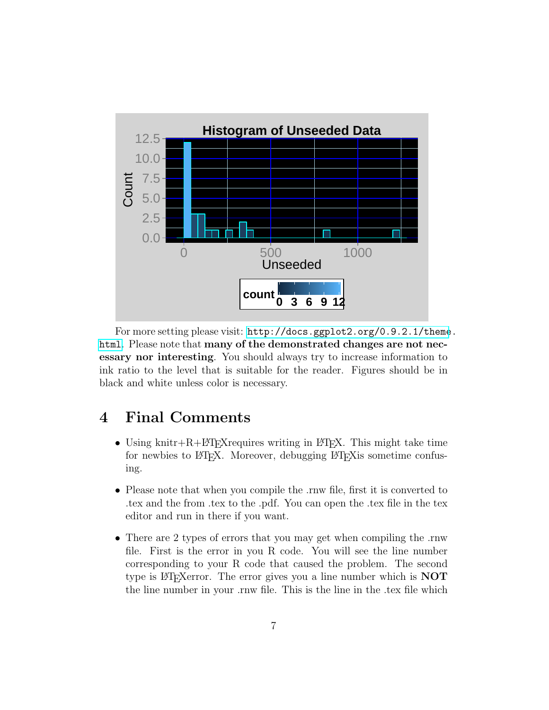

For more setting please visit: [http://docs.ggplot2.org/0.9.2.1/theme](http://docs.ggplot2.org/0.9.2.1/theme.html). [html](http://docs.ggplot2.org/0.9.2.1/theme.html). Please note that many of the demonstrated changes are not necessary nor interesting. You should always try to increase information to ink ratio to the level that is suitable for the reader. Figures should be in black and white unless color is necessary.

## <span id="page-6-0"></span>4 Final Comments

- Using knitr+R+LAT<sub>E</sub>X requires writing in LAT<sub>E</sub>X. This might take time for newbies to LATEX. Moreover, debugging LATEX is sometime confusing.
- Please note that when you compile the .rnw file, first it is converted to .tex and the from .tex to the .pdf. You can open the .tex file in the tex editor and run in there if you want.
- There are 2 types of errors that you may get when compiling the .rnw file. First is the error in you R code. You will see the line number corresponding to your R code that caused the problem. The second type is LAT<sub>E</sub>Xerror. The error gives you a line number which is  $NOT$ the line number in your .rnw file. This is the line in the .tex file which